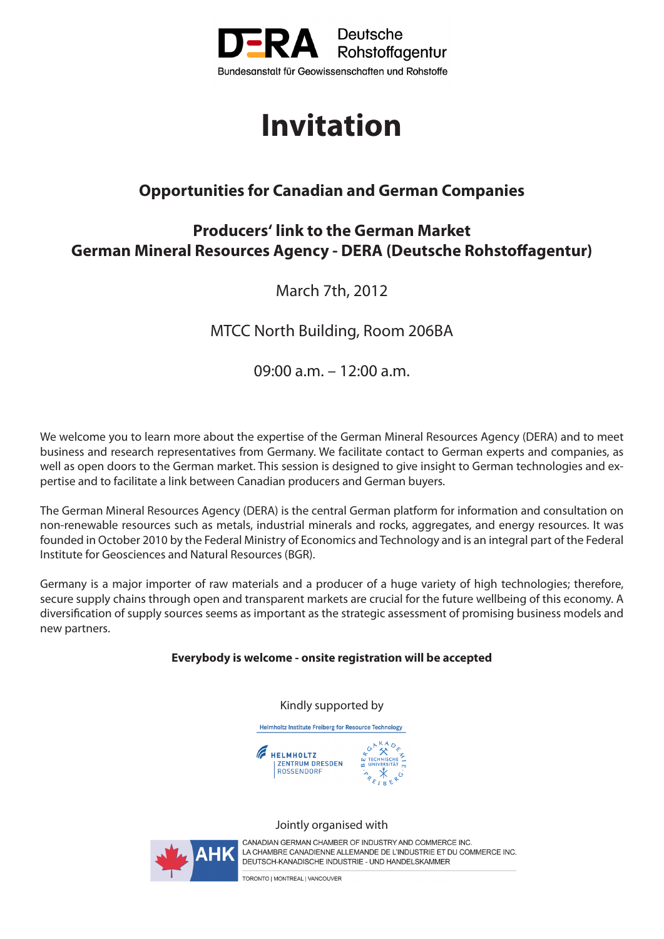

# **Invitation**

## **Opportunities for Canadian and German Companies**

## **Producers' link to the German Market German Mineral Resources Agency - DERA (Deutsche Rohstoffagentur)**

March 7th, 2012

MTCC North Building, Room 206BA

09:00 a.m. – 12:00 a.m.

We welcome you to learn more about the expertise of the German Mineral Resources Agency (DERA) and to meet business and research representatives from Germany. We facilitate contact to German experts and companies, as well as open doors to the German market. This session is designed to give insight to German technologies and expertise and to facilitate a link between Canadian producers and German buyers.

The German Mineral Resources Agency (DERA) is the central German platform for information and consultation on non-renewable resources such as metals, industrial minerals and rocks, aggregates, and energy resources. It was founded in October 2010 by the Federal Ministry of Economics and Technology and is an integral part of the Federal Institute for Geosciences and Natural Resources (BGR).

Germany is a major importer of raw materials and a producer of a huge variety of high technologies; therefore, secure supply chains through open and transparent markets are crucial for the future wellbeing of this economy. A diversification of supply sources seems as important as the strategic assessment of promising business models and new partners.

#### **Everybody is welcome - onsite registration will be accepted**

Kindly supported by

Helmholtz Institute Freiberg for Resource Technology



#### Jointly organised with



CANADIAN GERMAN CHAMBER OF INDUSTRY AND COMMERCE INC. LA CHAMBRE CANADIENNE ALLEMANDE DE L'INDUSTRIE ET DU COMMERCE INC. DEUTSCH-KANADISCHE INDUSTRIE - UND HANDELSKAMMER

TORONTO I MONTREAL I VANCOUVER